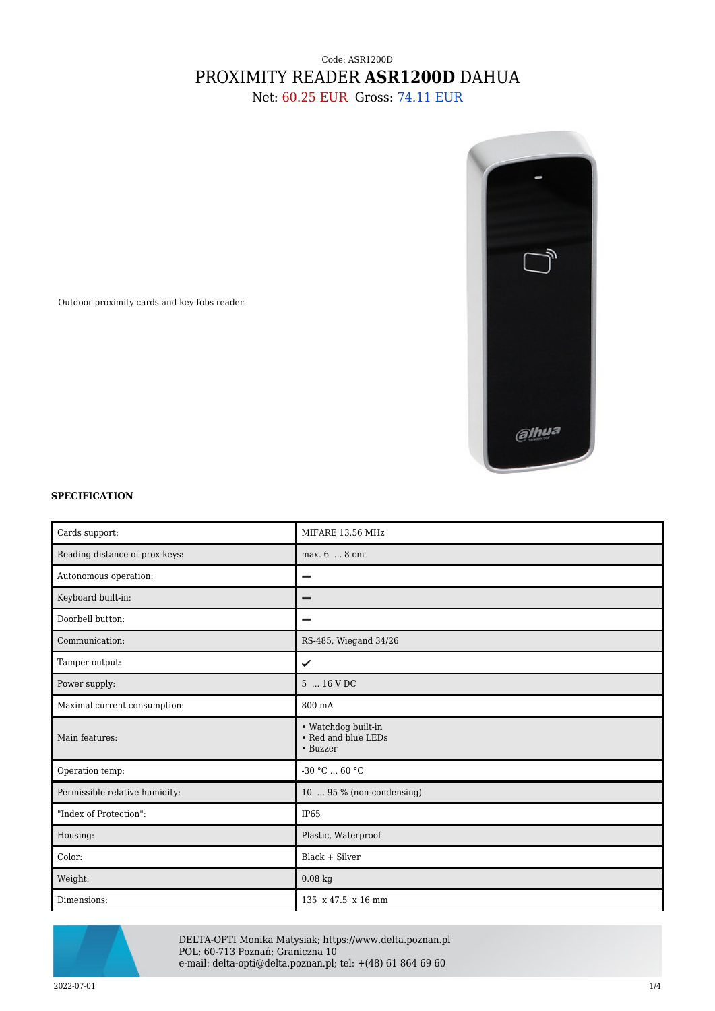## Code: ASR1200D PROXIMITY READER **ASR1200D** DAHUA

Net: 60.25 EUR Gross: 74.11 EUR



Outdoor proximity cards and key-fobs reader.

## **SPECIFICATION**

| Cards support:                 | MIFARE 13.56 MHz                                       |
|--------------------------------|--------------------------------------------------------|
| Reading distance of prox-keys: | max. 6  8 cm                                           |
| Autonomous operation:          |                                                        |
| Keyboard built-in:             |                                                        |
| Doorbell button:               |                                                        |
| Communication:                 | RS-485, Wiegand 34/26                                  |
| Tamper output:                 | ✓                                                      |
| Power supply:                  | 5  16 V DC                                             |
| Maximal current consumption:   | 800 mA                                                 |
| Main features:                 | • Watchdog built-in<br>• Red and blue LEDs<br>• Buzzer |
| Operation temp:                | $-30 °C$ 60 °C                                         |
| Permissible relative humidity: | 10  95 % (non-condensing)                              |
| "Index of Protection":         | IP65                                                   |
| Housing:                       | Plastic, Waterproof                                    |
| Color:                         | $Black + Silver$                                       |
| Weight:                        | $0.08~\mathrm{kg}$                                     |
| Dimensions:                    | 135 x 47.5 x 16 mm                                     |



DELTA-OPTI Monika Matysiak; https://www.delta.poznan.pl POL; 60-713 Poznań; Graniczna 10 e-mail: delta-opti@delta.poznan.pl; tel: +(48) 61 864 69 60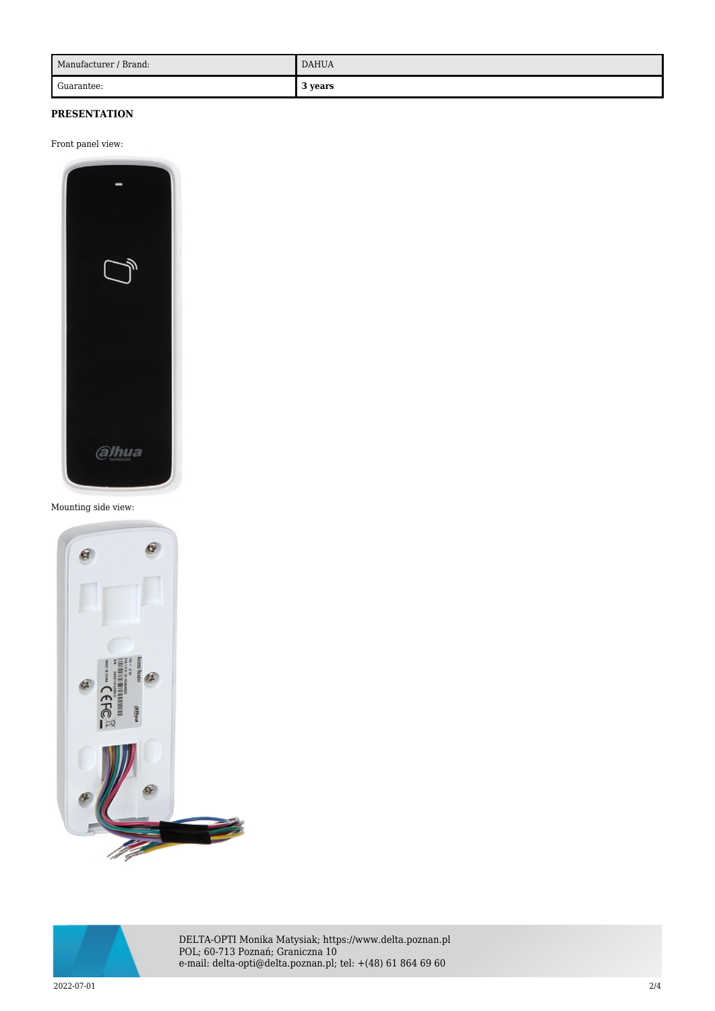| Manufacturer / Brand: | <b>DAHUA</b> |
|-----------------------|--------------|
| Guarantee:            | l years<br>◡ |

## **PRESENTATION**

Front panel view:



## Mounting side view:





DELTA-OPTI Monika Matysiak; https://www.delta.poznan.pl POL; 60-713 Poznań; Graniczna 10 e-mail: delta-opti@delta.poznan.pl; tel: +(48) 61 864 69 60

2022-07-01 2/4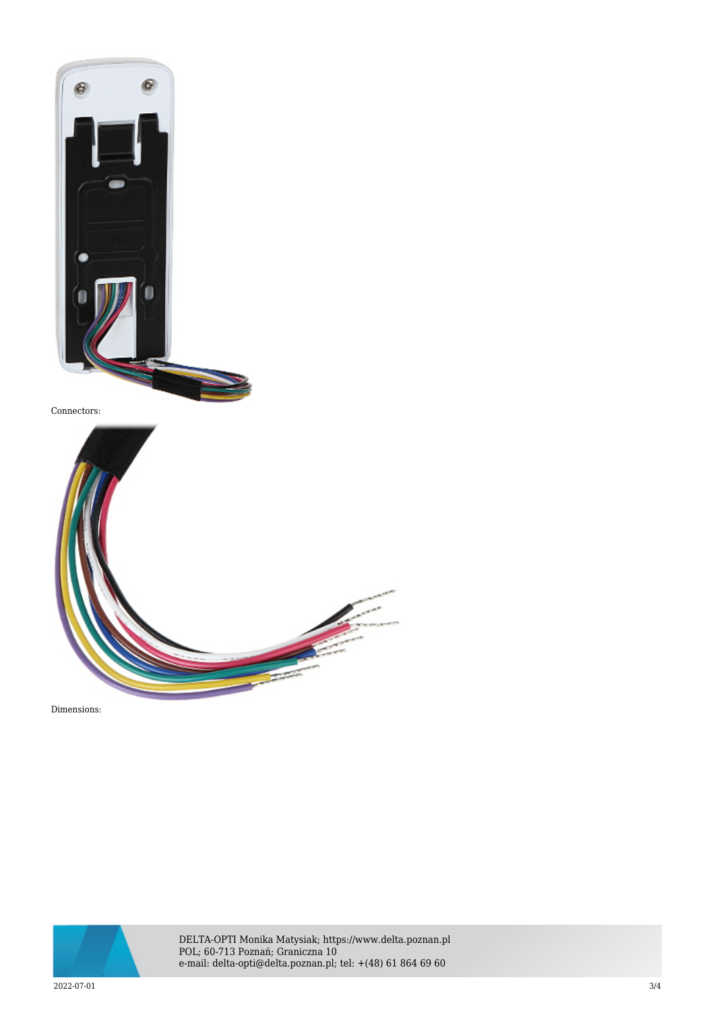

Connectors:



Dimensions:



DELTA-OPTI Monika Matysiak; https://www.delta.poznan.pl POL; 60-713 Poznań; Graniczna 10 e-mail: delta-opti@delta.poznan.pl; tel: +(48) 61 864 69 60

2022-07-01 3/4